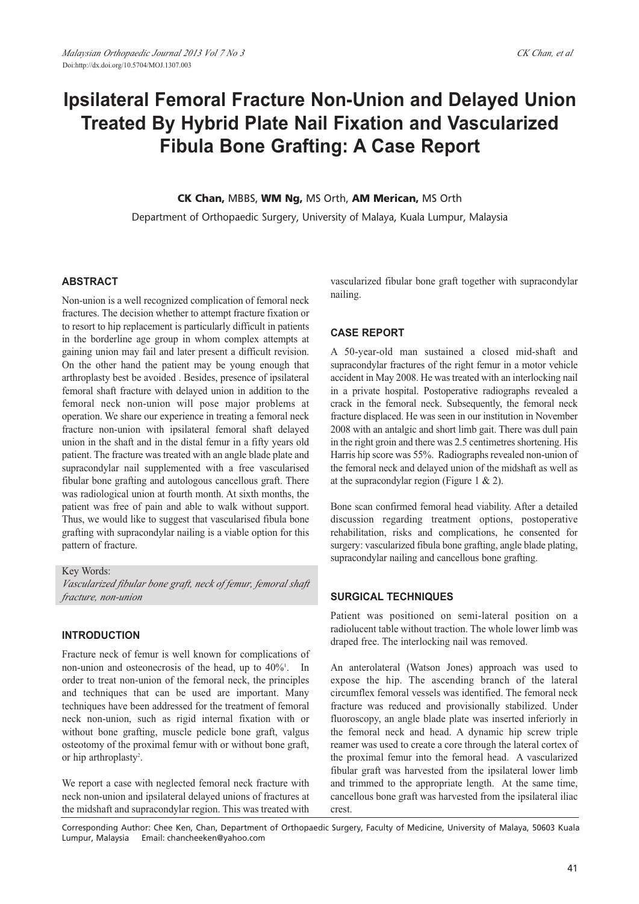# **Ipsilateral Femoral Fracture Non-Union and Delayed Union Treated By Hybrid Plate Nail Fixation and Vascularized Fibula Bone Grafting: A Case Report**

**CK Chan,** MBBS, **WM Ng,** MS Orth, **AM Merican,** MS Orth

Department of Orthopaedic Surgery, University of Malaya, Kuala Lumpur, Malaysia

# **ABSTRACT**

Non-union is a well recognized complication of femoral neck fractures. The decision whether to attempt fracture fixation or to resort to hip replacement is particularly difficult in patients in the borderline age group in whom complex attempts at gaining union may fail and later present a difficult revision. On the other hand the patient may be young enough that arthroplasty best be avoided . Besides, presence of ipsilateral femoral shaft fracture with delayed union in addition to the femoral neck non-union will pose major problems at operation. We share our experience in treating a femoral neck fracture non-union with ipsilateral femoral shaft delayed union in the shaft and in the distal femur in a fifty years old patient. The fracture was treated with an angle blade plate and supracondylar nail supplemented with a free vascularised fibular bone grafting and autologous cancellous graft. There was radiological union at fourth month. At sixth months, the patient was free of pain and able to walk without support. Thus, we would like to suggest that vascularised fibula bone grafting with supracondylar nailing is a viable option for this pattern of fracture.

Key Words: *Vascularized fibular bone graft, neck of femur, femoral shaft fracture, non-union*

#### **INTRODUCTION**

Fracture neck of femur is well known for complications of non-union and osteonecrosis of the head, up to 40%<sup>1</sup>. In order to treat non-union of the femoral neck, the principles and techniques that can be used are important. Many techniques have been addressed for the treatment of femoral neck non-union, such as rigid internal fixation with or without bone grafting, muscle pedicle bone graft, valgus osteotomy of the proximal femur with or without bone graft, or hip arthroplasty<sup>2</sup>.

We report a case with neglected femoral neck fracture with neck non-union and ipsilateral delayed unions of fractures at the midshaft and supracondylar region. This was treated with

vascularized fibular bone graft together with supracondylar nailing.

## **CASE REPORT**

A 50-year-old man sustained a closed mid-shaft and supracondylar fractures of the right femur in a motor vehicle accident in May 2008. He was treated with an interlocking nail in a private hospital. Postoperative radiographs revealed a crack in the femoral neck. Subsequently, the femoral neck fracture displaced. He was seen in our institution in November 2008 with an antalgic and short limb gait. There was dull pain in the right groin and there was 2.5 centimetres shortening. His Harris hip score was 55%. Radiographs revealed non-union of the femoral neck and delayed union of the midshaft as well as at the supracondylar region (Figure 1 & 2).

Bone scan confirmed femoral head viability. After a detailed discussion regarding treatment options, postoperative rehabilitation, risks and complications, he consented for surgery: vascularized fibula bone grafting, angle blade plating, supracondylar nailing and cancellous bone grafting.

#### **SURGICAL TECHNIQUES**

Patient was positioned on semi-lateral position on a radiolucent table without traction. The whole lower limb was draped free. The interlocking nail was removed.

An anterolateral (Watson Jones) approach was used to expose the hip. The ascending branch of the lateral circumflex femoral vessels was identified. The femoral neck fracture was reduced and provisionally stabilized. Under fluoroscopy, an angle blade plate was inserted inferiorly in the femoral neck and head. A dynamic hip screw triple reamer was used to create a core through the lateral cortex of the proximal femur into the femoral head. A vascularized fibular graft was harvested from the ipsilateral lower limb and trimmed to the appropriate length. At the same time, cancellous bone graft was harvested from the ipsilateral iliac crest.

Corresponding Author: Chee Ken, Chan, Department of Orthopaedic Surgery, Faculty of Medicine, University of Malaya, 50603 Kuala Lumpur, Malaysia Email: chancheeken@yahoo.com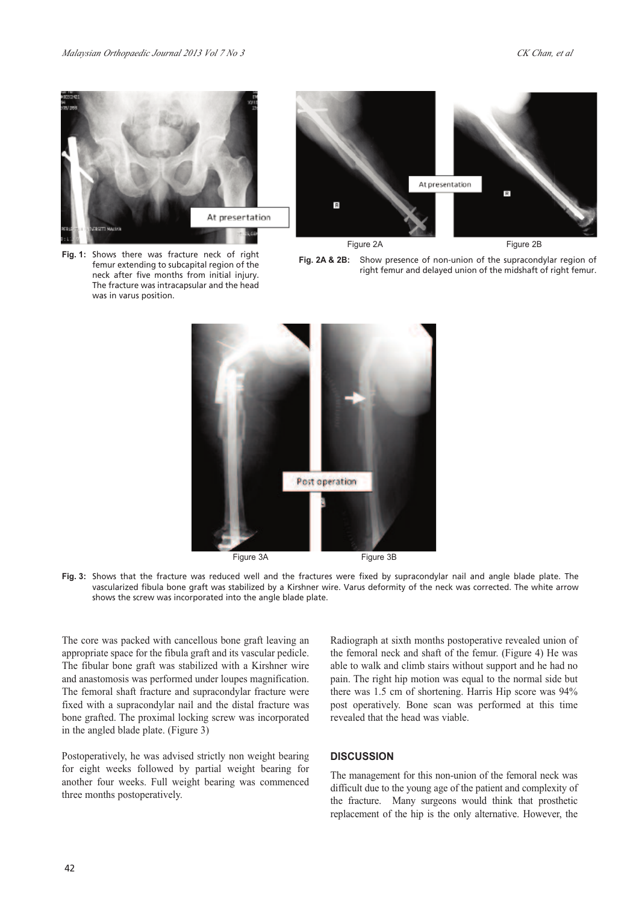





**Fig. 2A & 2B:** Show presence of non-union of the supracondylar region of right femur and delayed union of the midshaft of right femur.



**Fig. 3:** Shows that the fracture was reduced well and the fractures were fixed by supracondylar nail and angle blade plate. The vascularized fibula bone graft was stabilized by a Kirshner wire. Varus deformity of the neck was corrected. The white arrow shows the screw was incorporated into the angle blade plate.

The core was packed with cancellous bone graft leaving an appropriate space for the fibula graft and its vascular pedicle. The fibular bone graft was stabilized with a Kirshner wire and anastomosis was performed under loupes magnification. The femoral shaft fracture and supracondylar fracture were fixed with a supracondylar nail and the distal fracture was bone grafted. The proximal locking screw was incorporated in the angled blade plate. (Figure 3)

Postoperatively, he was advised strictly non weight bearing for eight weeks followed by partial weight bearing for another four weeks. Full weight bearing was commenced three months postoperatively.

Radiograph at sixth months postoperative revealed union of the femoral neck and shaft of the femur. (Figure 4) He was able to walk and climb stairs without support and he had no pain. The right hip motion was equal to the normal side but there was 1.5 cm of shortening. Harris Hip score was 94% post operatively. Bone scan was performed at this time revealed that the head was viable.

## **DISCUSSION**

The management for this non-union of the femoral neck was difficult due to the young age of the patient and complexity of the fracture. Many surgeons would think that prosthetic replacement of the hip is the only alternative. However, the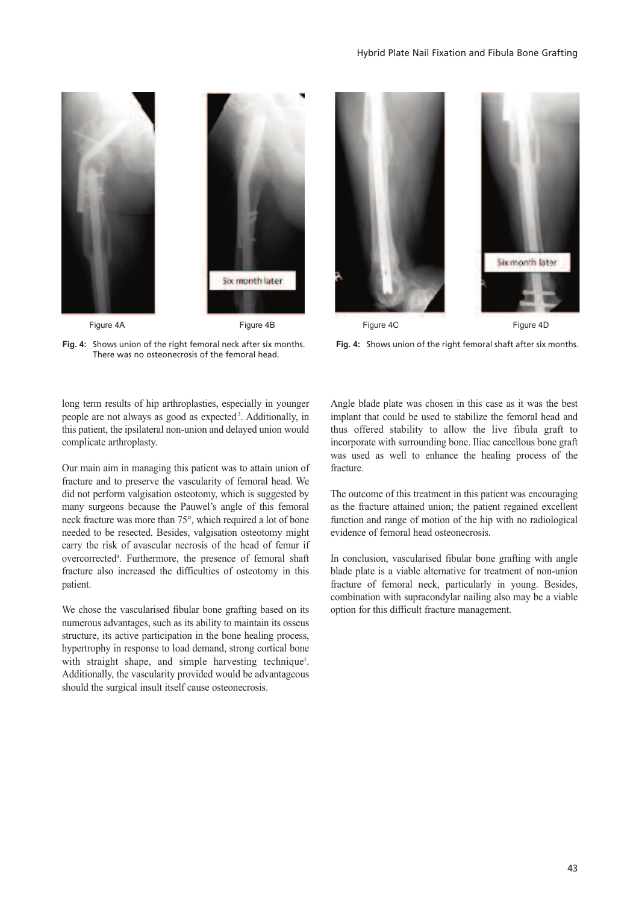

**Fig. 4:** Shows union of the right femoral neck after six months. There was no osteonecrosis of the femoral head.



**Fig. 4:** Shows union of the right femoral shaft after six months.

long term results of hip arthroplasties, especially in younger people are not always as good as expected<sup>3</sup>. Additionally, in this patient, the ipsilateral non-union and delayed union would complicate arthroplasty.

Our main aim in managing this patient was to attain union of fracture and to preserve the vascularity of femoral head. We did not perform valgisation osteotomy, which is suggested by many surgeons because the Pauwel's angle of this femoral neck fracture was more than 75°, which required a lot of bone needed to be resected. Besides, valgisation osteotomy might carry the risk of avascular necrosis of the head of femur if overcorrected4 . Furthermore, the presence of femoral shaft fracture also increased the difficulties of osteotomy in this patient.

We chose the vascularised fibular bone grafting based on its numerous advantages, such as its ability to maintain its osseus structure, its active participation in the bone healing process, hypertrophy in response to load demand, strong cortical bone with straight shape, and simple harvesting technique<sup>5</sup>. Additionally, the vascularity provided would be advantageous should the surgical insult itself cause osteonecrosis.

Angle blade plate was chosen in this case as it was the best implant that could be used to stabilize the femoral head and thus offered stability to allow the live fibula graft to incorporate with surrounding bone. Iliac cancellous bone graft was used as well to enhance the healing process of the fracture.

The outcome of this treatment in this patient was encouraging as the fracture attained union; the patient regained excellent function and range of motion of the hip with no radiological evidence of femoral head osteonecrosis.

In conclusion, vascularised fibular bone grafting with angle blade plate is a viable alternative for treatment of non-union fracture of femoral neck, particularly in young. Besides, combination with supracondylar nailing also may be a viable option for this difficult fracture management.